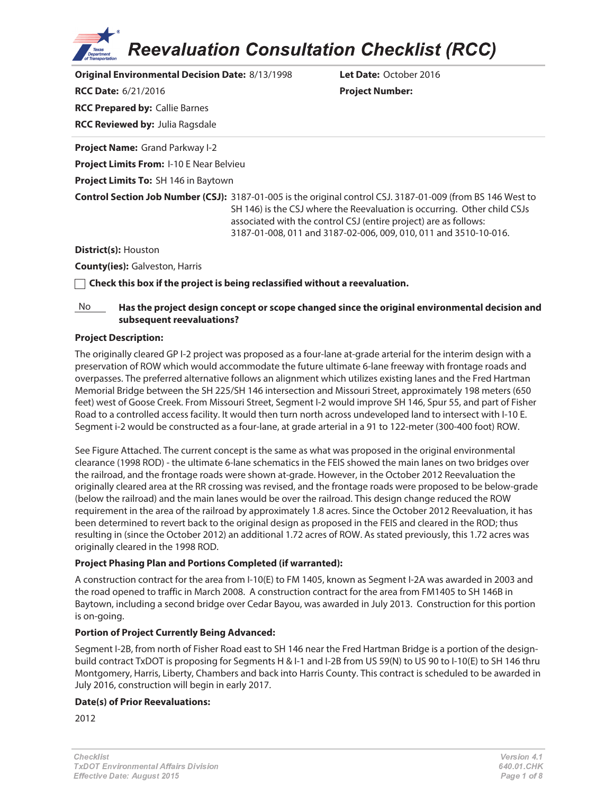**Reevaluation Consultation Checklist (RCC)** 

**Original Environmental Decision Date:** 8/13/1998 **Let Date:** October 2016 **RCC Date:** 6/21/2016 **Project Number: RCC Prepared by:** Callie Barnes **RCC Reviewed by:** Julia Ragsdale **Project Name:** Grand Parkway I-2 **Project Limits From:** I-10 E Near Belvieu **Project Limits To:** SH 146 in Baytown **Control Section Job Number (CSJ):** 3187-01-005 is the original control CSJ. 3187-01-009 (from BS 146 West to SH 146) is the CSJ where the Reevaluation is occurring. Other child CSJs associated with the control CSJ (entire project) are as follows: 3187-01-008, 011 and 3187-02-006, 009, 010, 011 and 3510-10-016. **District(s):** Houston **County(ies):** Galveston, Harris

**Check this box if the project is being reclassified without a reevaluation.**

#### No **Has the project design concept or scope changed since the original environmental decision and subsequent reevaluations?**

#### **Project Description:**

The originally cleared GP I-2 project was proposed as a four-lane at-grade arterial for the interim design with a preservation of ROW which would accommodate the future ultimate 6-lane freeway with frontage roads and overpasses. The preferred alternative follows an alignment which utilizes existing lanes and the Fred Hartman Memorial Bridge between the SH 225/SH 146 intersection and Missouri Street, approximately 198 meters (650 feet) west of Goose Creek. From Missouri Street, Segment I-2 would improve SH 146, Spur 55, and part of Fisher Road to a controlled access facility. It would then turn north across undeveloped land to intersect with I-10 E. Segment i-2 would be constructed as a four-lane, at grade arterial in a 91 to 122-meter (300-400 foot) ROW.

See Figure Attached. The current concept is the same as what was proposed in the original environmental clearance (1998 ROD) - the ultimate 6-lane schematics in the FEIS showed the main lanes on two bridges over the railroad, and the frontage roads were shown at-grade. However, in the October 2012 Reevaluation the originally cleared area at the RR crossing was revised, and the frontage roads were proposed to be below-grade (below the railroad) and the main lanes would be over the railroad. This design change reduced the ROW requirement in the area of the railroad by approximately 1.8 acres. Since the October 2012 Reevaluation, it has been determined to revert back to the original design as proposed in the FEIS and cleared in the ROD; thus resulting in (since the October 2012) an additional 1.72 acres of ROW. As stated previously, this 1.72 acres was originally cleared in the 1998 ROD.

#### **Project Phasing Plan and Portions Completed (if warranted):**

A construction contract for the area from I-10(E) to FM 1405, known as Segment I-2A was awarded in 2003 and the road opened to traffic in March 2008. A construction contract for the area from FM1405 to SH 146B in Baytown, including a second bridge over Cedar Bayou, was awarded in July 2013. Construction for this portion is on-going.

#### **Portion of Project Currently Being Advanced:**

Segment I-2B, from north of Fisher Road east to SH 146 near the Fred Hartman Bridge is a portion of the designbuild contract TxDOT is proposing for Segments H & I-1 and I-2B from US 59(N) to US 90 to I-10(E) to SH 146 thru Montgomery, Harris, Liberty, Chambers and back into Harris County. This contract is scheduled to be awarded in July 2016, construction will begin in early 2017.

#### **Date(s) of Prior Reevaluations:**

2012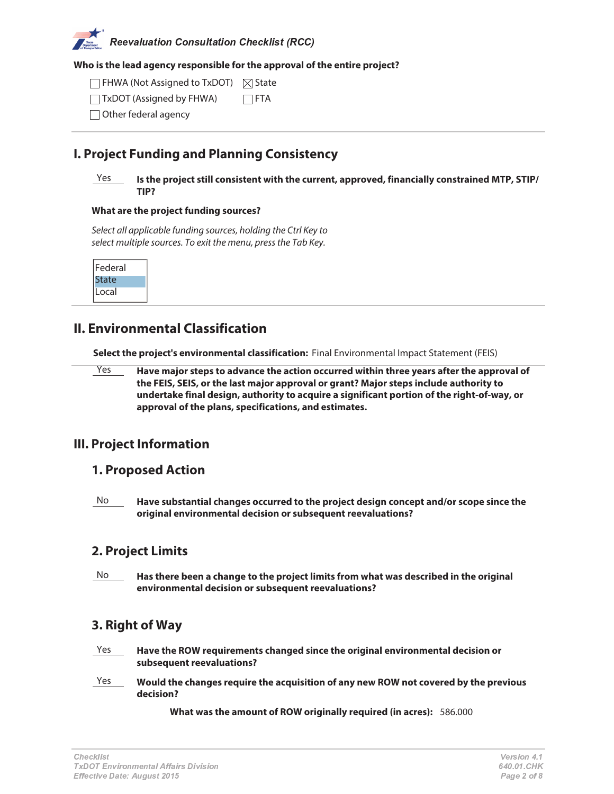# Reevaluation Consultation Checklist (RCC

#### **Who is the lead agency responsible for the approval of the entire project?**

FHWA (Not Assigned to TxDOT)  $\boxtimes$  State TxDOT (Assigned by FHWA)  $\Box$ FTA

Other federal agency

## **I. Project Funding and Planning Consistency**

#### Yes **Is the project still consistent with the current, approved, financially constrained MTP, STIP/ TIP?**

#### **What are the project funding sources?**

Select all applicable funding sources, holding the Ctrl Key to select multiple sources. To exit the menu, press the Tab Key.

| Federal |  |
|---------|--|
| tate    |  |
| Local   |  |

# **II. Environmental Classification**

**Select the project's environmental classification:** Final Environmental Impact Statement (FEIS)

Yes **Have major steps to advance the action occurred within three years after the approval of the FEIS, SEIS, or the last major approval or grant? Major steps include authority to undertake final design, authority to acquire a significant portion of the right-of-way, or approval of the plans, specifications, and estimates.**

## **III. Project Information**

## **1. Proposed Action**

No **Have substantial changes occurred to the project design concept and/or scope since the original environmental decision or subsequent reevaluations?**

## **2. Project Limits**

No **Has there been a change to the project limits from what was described in the original environmental decision or subsequent reevaluations?**

## **3. Right of Way**

- Yes **Have the ROW requirements changed since the original environmental decision or subsequent reevaluations?**
- Yes **Would the changes require the acquisition of any new ROW not covered by the previous decision?**

**What was the amount of ROW originally required (in acres):** 586.000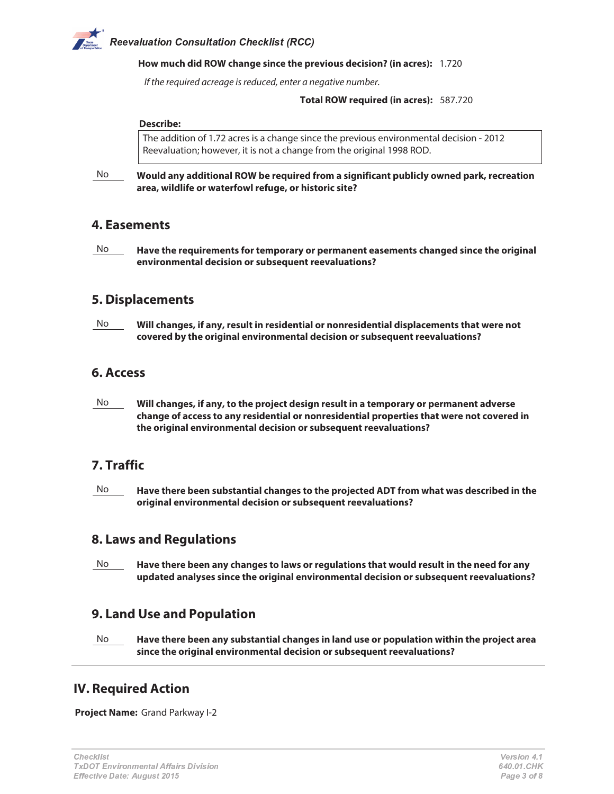# Reevaluation Consultation Checklist (RCC

#### **How much did ROW change since the previous decision? (in acres):** 1.720

If the required acreage is reduced, enter a negative number.

#### **Total ROW required (in acres):** 587.720

#### **Describe:**

The addition of 1.72 acres is a change since the previous environmental decision - 2012 Reevaluation; however, it is not a change from the original 1998 ROD.

No **Would any additional ROW be required from a significant publicly owned park, recreation area, wildlife or waterfowl refuge, or historic site?**

#### **4. Easements**

No **Have the requirements for temporary or permanent easements changed since the original environmental decision or subsequent reevaluations?**

### **5. Displacements**

No **Will changes, if any, result in residential or nonresidential displacements that were not covered by the original environmental decision or subsequent reevaluations?**

#### **6. Access**

No **Will changes, if any, to the project design result in a temporary or permanent adverse change of access to any residential or nonresidential properties that were not covered in the original environmental decision or subsequent reevaluations?**

## **7. Traffic**

No **Have there been substantial changes to the projected ADT from what was described in the original environmental decision or subsequent reevaluations?**

#### **8. Laws and Regulations**

No **Have there been any changes to laws or regulations that would result in the need for any updated analyses since the original environmental decision or subsequent reevaluations?**

## **9. Land Use and Population**

No **Have there been any substantial changes in land use or population within the project area since the original environmental decision or subsequent reevaluations?**

## **IV. Required Action**

**Project Name:** Grand Parkway I-2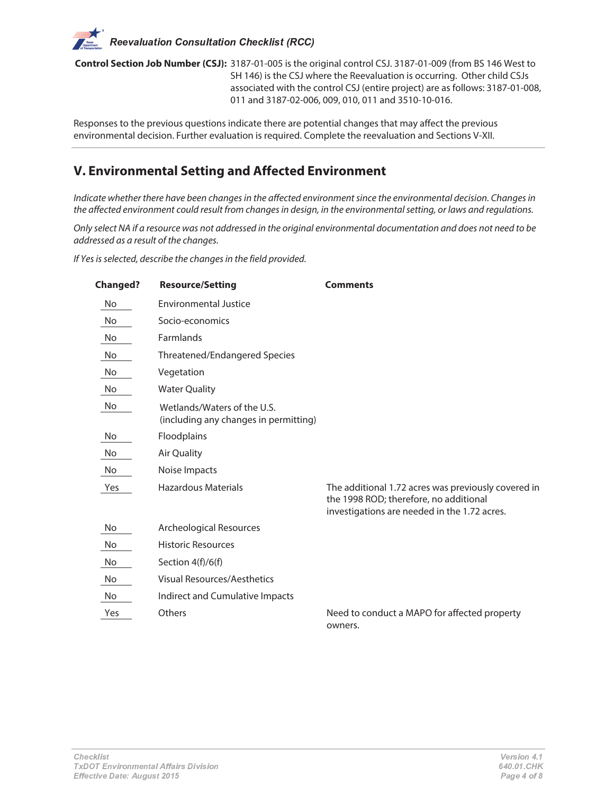**Control Section Job Number (CSJ):** 3187-01-005 is the original control CSJ. 3187-01-009 (from BS 146 West to SH 146) is the CSJ where the Reevaluation is occurring. Other child CSJs associated with the control CSJ (entire project) are as follows: 3187-01-008, 011 and 3187-02-006, 009, 010, 011 and 3510-10-016.

Responses to the previous questions indicate there are potential changes that may affect the previous environmental decision. Further evaluation is required. Complete the reevaluation and Sections V-XII.

# **V. Environmental Setting and Affected Environment**

Indicate whether there have been changes in the affected environment since the environmental decision. Changes in the affected environment could result from changes in design, in the environmental setting, or laws and regulations.

Only select NA if a resource was not addressed in the original environmental documentation and does not need to be addressed as a result of the changes.

If Yes is selected, describe the changes in the field provided.

| <b>Changed?</b> | <b>Resource/Setting</b>                                              | <b>Comments</b>                                                                                                                               |
|-----------------|----------------------------------------------------------------------|-----------------------------------------------------------------------------------------------------------------------------------------------|
| No              | <b>Environmental Justice</b>                                         |                                                                                                                                               |
| No              | Socio-economics                                                      |                                                                                                                                               |
| No              | Farmlands                                                            |                                                                                                                                               |
| No              | Threatened/Endangered Species                                        |                                                                                                                                               |
| No              | Vegetation                                                           |                                                                                                                                               |
| No              | <b>Water Quality</b>                                                 |                                                                                                                                               |
| No              | Wetlands/Waters of the U.S.<br>(including any changes in permitting) |                                                                                                                                               |
| No              | Floodplains                                                          |                                                                                                                                               |
| No              | <b>Air Quality</b>                                                   |                                                                                                                                               |
| No              | Noise Impacts                                                        |                                                                                                                                               |
| Yes             | <b>Hazardous Materials</b>                                           | The additional 1.72 acres was previously covered in<br>the 1998 ROD; therefore, no additional<br>investigations are needed in the 1.72 acres. |
| No              | <b>Archeological Resources</b>                                       |                                                                                                                                               |
| No              | <b>Historic Resources</b>                                            |                                                                                                                                               |
| No              | Section 4(f)/6(f)                                                    |                                                                                                                                               |
| No              | <b>Visual Resources/Aesthetics</b>                                   |                                                                                                                                               |
| No              | Indirect and Cumulative Impacts                                      |                                                                                                                                               |
| Yes             | Others                                                               | Need to conduct a MAPO for affected property<br>owners.                                                                                       |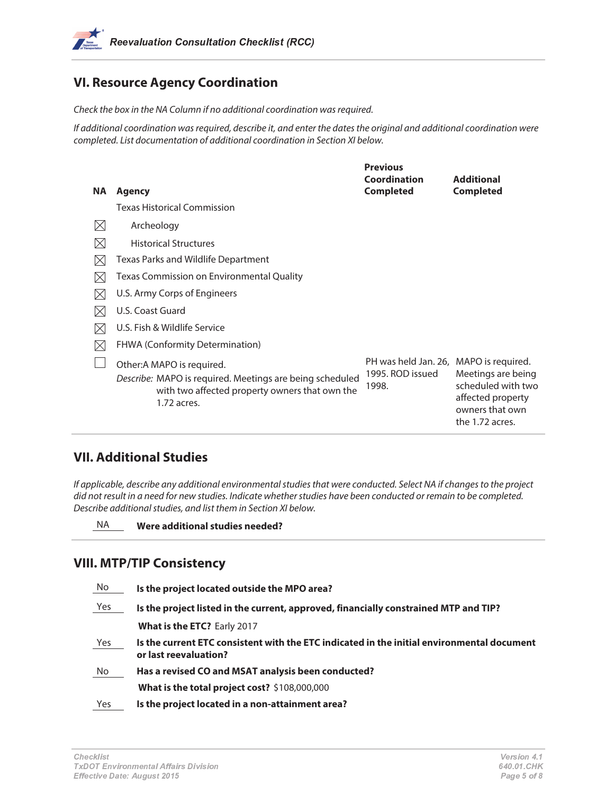# **VI. Resource Agency Coordination**

Check the box in the NA Column if no additional coordination was required.

If additional coordination was required, describe it, and enter the dates the original and additional coordination were completed. List documentation of additional coordination in Section XI below.

| NA.         | Agency                                                                                                                                                  | <b>Previous</b><br>Coordination<br><b>Completed</b>                 | <b>Additional</b><br><b>Completed</b>                                                               |
|-------------|---------------------------------------------------------------------------------------------------------------------------------------------------------|---------------------------------------------------------------------|-----------------------------------------------------------------------------------------------------|
|             | <b>Texas Historical Commission</b>                                                                                                                      |                                                                     |                                                                                                     |
| $\boxtimes$ | Archeology                                                                                                                                              |                                                                     |                                                                                                     |
| $\boxtimes$ | <b>Historical Structures</b>                                                                                                                            |                                                                     |                                                                                                     |
| $\times$    | Texas Parks and Wildlife Department                                                                                                                     |                                                                     |                                                                                                     |
| $\boxtimes$ | Texas Commission on Environmental Quality                                                                                                               |                                                                     |                                                                                                     |
| M           | U.S. Army Corps of Engineers                                                                                                                            |                                                                     |                                                                                                     |
| IX          | U.S. Coast Guard                                                                                                                                        |                                                                     |                                                                                                     |
| $\boxtimes$ | U.S. Fish & Wildlife Service                                                                                                                            |                                                                     |                                                                                                     |
| $\times$    | <b>FHWA (Conformity Determination)</b>                                                                                                                  |                                                                     |                                                                                                     |
|             | Other: A MAPO is required.<br>Describe: MAPO is required. Meetings are being scheduled<br>with two affected property owners that own the<br>1.72 acres. | PH was held Jan. 26, MAPO is required.<br>1995. ROD issued<br>1998. | Meetings are being<br>scheduled with two<br>affected property<br>owners that own<br>the 1.72 acres. |

## **VII. Additional Studies**

If applicable, describe any additional environmental studies that were conducted. Select NA if changes to the project did not result in a need for new studies. Indicate whether studies have been conducted or remain to be completed. Describe additional studies, and list them in Section XI below.

NA **Were additional studies needed?**

## **VIII. MTP/TIP Consistency**

| No  | Is the project located outside the MPO area?                                                                        |
|-----|---------------------------------------------------------------------------------------------------------------------|
| Yes | Is the project listed in the current, approved, financially constrained MTP and TIP?                                |
|     | What is the ETC? Early 2017                                                                                         |
| Yes | Is the current ETC consistent with the ETC indicated in the initial environmental document<br>or last reevaluation? |
| No  | Has a revised CO and MSAT analysis been conducted?                                                                  |
|     | What is the total project cost? \$108,000,000                                                                       |
| Yes | Is the project located in a non-attainment area?                                                                    |
|     |                                                                                                                     |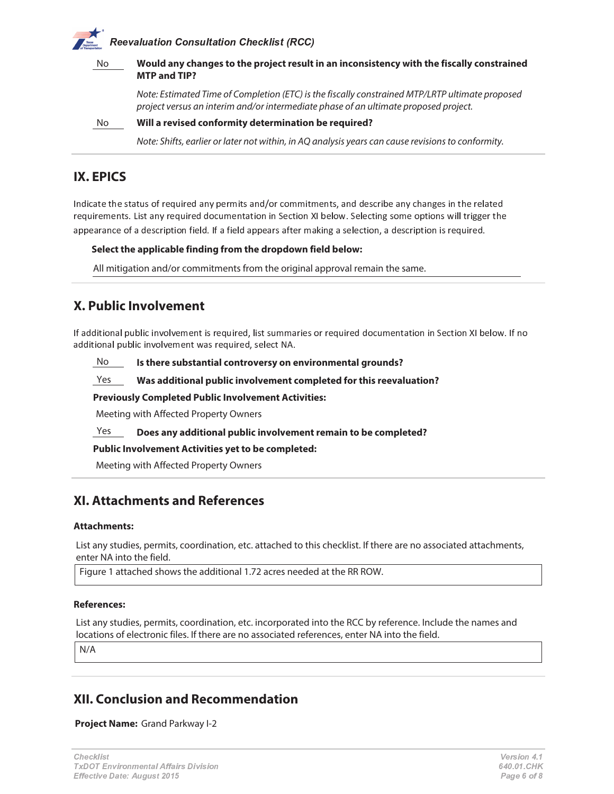# Reevaluation Consultation Checklist (RCC

| No. |  | Would any changes to the project result in an inconsistency with the fiscally constrained<br><b>MTP and TIP?</b>                                                                        |  |  |
|-----|--|-----------------------------------------------------------------------------------------------------------------------------------------------------------------------------------------|--|--|
|     |  | Note: Estimated Time of Completion (ETC) is the fiscally constrained MTP/LRTP ultimate proposed<br>project versus an interim and/or intermediate phase of an ultimate proposed project. |  |  |
| No  |  | Will a revised conformity determination be required?                                                                                                                                    |  |  |
|     |  | Note: Shifts, earlier or later not within, in AQ analysis years can cause revisions to conformity.                                                                                      |  |  |

# **IX. EPICS**

 $\alpha$  and c b a b f e g h i c i c i m a b e o a d c e o a d c e o a d c a d a g m  $\alpha$  a  $\alpha$  i c e o a b d c e o a b d c e  $\alpha$  e  $\alpha$  a b d c e o a b d c e o a b d c i c r a b d c e  $\alpha$  d c i c r a b d c i c r a b c r a in c j f a b a b a b a b a b a b a b a g  $\alpha$  , we see that we get a b  $\alpha$  is a b  $\alpha$  - r r  $\alpha$  in  $\alpha$  , we can call b  $\alpha$  and  $\alpha$  is a contract of  $\alpha$  in  $\alpha$  in  $\alpha$  is a contract of  $\alpha$  in  $\alpha$  in  $\alpha$  is a con a l c a i a c c g h a h a h a h a h a c r a c r c r c r c r c c r c c r c c c r c  $\alpha$  i e i e i e i e i c e c

#### **Select the applicable finding from the dropdown field below:**

All mitigation and/or commitments from the original approval remain the same.

# **X. Public Involvement**

\ h <sup>a</sup> ^ ^ \_ <sup>b</sup> \_ <sup>g</sup> ] <sup>a</sup> <sup>r</sup> <sup>l</sup> <sup>f</sup> <sup>p</sup> <sup>r</sup> \_ ` \_ ] <sup>y</sup> <sup>g</sup> <sup>r</sup> y <sup>c</sup> <sup>m</sup> <sup>c</sup> ] <sup>b</sup> \_ <sup>e</sup> <sup>i</sup> <sup>c</sup> <sup>j</sup> <sup>f</sup> \_ <sup>i</sup> <sup>c</sup> ^ <sup>o</sup> <sup>r</sup> \_ <sup>e</sup> <sup>b</sup> <sup>e</sup> <sup>f</sup> <sup>m</sup> <sup>m</sup> <sup>a</sup> <sup>i</sup> \_ <sup>c</sup> <sup>e</sup> <sup>g</sup> <sup>i</sup> <sup>i</sup> <sup>c</sup> <sup>j</sup> <sup>f</sup> \_ <sup>i</sup> <sup>c</sup> ^ ^ <sup>g</sup> ` <sup>f</sup> <sup>m</sup> <sup>c</sup> ] <sup>b</sup> <sup>a</sup> <sup>b</sup> \_ <sup>g</sup> ] \_ ] <sup>u</sup> <sup>c</sup> ` <sup>b</sup> \_ <sup>g</sup> ] <sup>v</sup> \ <sup>p</sup> <sup>c</sup> <sup>r</sup> g <sup>w</sup> <sup>s</sup> \ h ] <sup>g</sup> a ^ ^ \_ <sup>b</sup> \_ <sup>g</sup> ] <sup>a</sup> <sup>r</sup> <sup>l</sup> <sup>f</sup> <sup>p</sup> <sup>r</sup> \_ ` \_ ] <sup>y</sup> <sup>g</sup> <sup>r</sup> y <sup>c</sup> <sup>m</sup> <sup>c</sup> ] <sup>b</sup> <sup>w</sup> <sup>a</sup> <sup>e</sup> <sup>i</sup> <sup>c</sup> <sup>j</sup> <sup>f</sup> \_ <sup>i</sup> <sup>c</sup> ^ <sup>o</sup> <sup>e</sup> <sup>c</sup> <sup>r</sup> c ` <sup>b</sup> <sup>z</sup> { <sup>s</sup>

No **Is there substantial controversy on environmental grounds?**

Yes **Was additional public involvement completed for this reevaluation?**

**Previously Completed Public Involvement Activities:**

Meeting with Affected Property Owners

Yes **Does any additional public involvement remain to be completed?**

**Public Involvement Activities yet to be completed:**

Meeting with Affected Property Owners

## **XI. Attachments and References**

#### **Attachments:**

List any studies, permits, coordination, etc. attached to this checklist. If there are no associated attachments, enter NA into the field.

Figure 1 attached shows the additional 1.72 acres needed at the RR ROW.

#### **References:**

List any studies, permits, coordination, etc. incorporated into the RCC by reference. Include the names and locations of electronic files. If there are no associated references, enter NA into the field.

N/A

## **XII. Conclusion and Recommendation**

**Project Name:** Grand Parkway I-2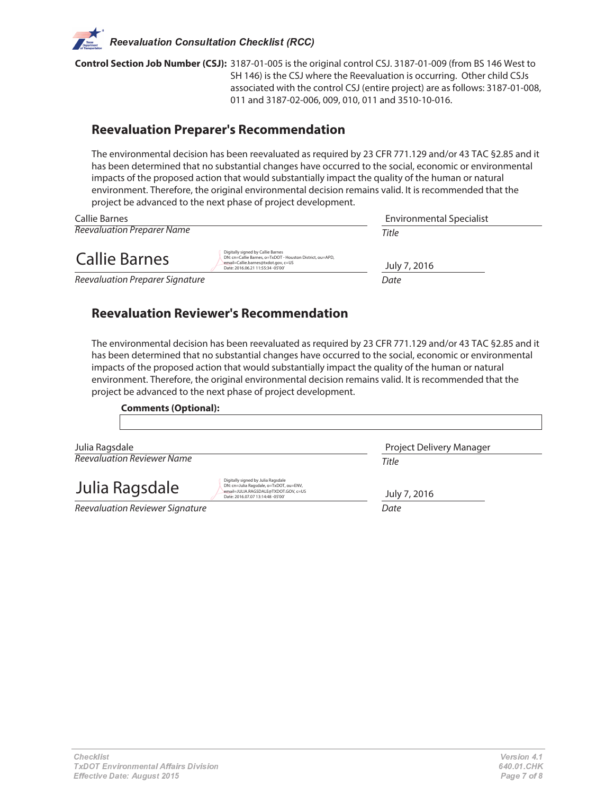**Control Section Job Number (CSJ):** 3187-01-005 is the original control CSJ. 3187-01-009 (from BS 146 West to SH 146) is the CSJ where the Reevaluation is occurring. Other child CSJs associated with the control CSJ (entire project) are as follows: 3187-01-008, 011 and 3187-02-006, 009, 010, 011 and 3510-10-016.

## **Reevaluation Preparer's Recommendation**

The environmental decision has been reevaluated as required by 23 CFR 771.129 and/or 43 TAC §2.85 and it has been determined that no substantial changes have occurred to the social, economic or environmental impacts of the proposed action that would substantially impact the quality of the human or natural environment. Therefore, the original environmental decision remains valid. It is recommended that the project be advanced to the next phase of project development.

| Callie Barnes                     |                                                                                                                                                                            | Environmental Specialist |  |
|-----------------------------------|----------------------------------------------------------------------------------------------------------------------------------------------------------------------------|--------------------------|--|
| <b>Reevaluation Preparer Name</b> |                                                                                                                                                                            | Title                    |  |
| Callie Barnes                     | Digitally signed by Callie Barnes<br>DN: cn=Callie Barnes, o=TxDOT - Houston District, ou=APD,<br>email=Callie.barnes@txdot.gov, c=US<br>Date: 2016.06.21 11:55:34 -05'00' | July 7, 2016             |  |
| Reevaluation Preparer Signature   |                                                                                                                                                                            | Date                     |  |

# **Reevaluation Reviewer's Recommendation**

The environmental decision has been reevaluated as required by 23 CFR 771.129 and/or 43 TAC §2.85 and it has been determined that no substantial changes have occurred to the social, economic or environmental impacts of the proposed action that would substantially impact the quality of the human or natural environment. Therefore, the original environmental decision remains valid. It is recommended that the project be advanced to the next phase of project development.

| <b>Comments (Optional):</b>                                                                                                                                                 |                          |
|-----------------------------------------------------------------------------------------------------------------------------------------------------------------------------|--------------------------|
| Julia Ragsdale                                                                                                                                                              | Project Delivery Manager |
| Reevaluation Reviewer Name                                                                                                                                                  | Title                    |
| Digitally signed by Julia Ragsdale<br>Julia Ragsdale<br>DN: cn=Julia Ragsdale, o=TxDOT, ou=ENV,<br>email=JULIA.RAGSDALE@TXDOT.GOV.c=US<br>Date: 2016.07.07 13:14:48 -05'00' | July 7, 2016             |
| Reevaluation Reviewer Signature                                                                                                                                             | Date                     |